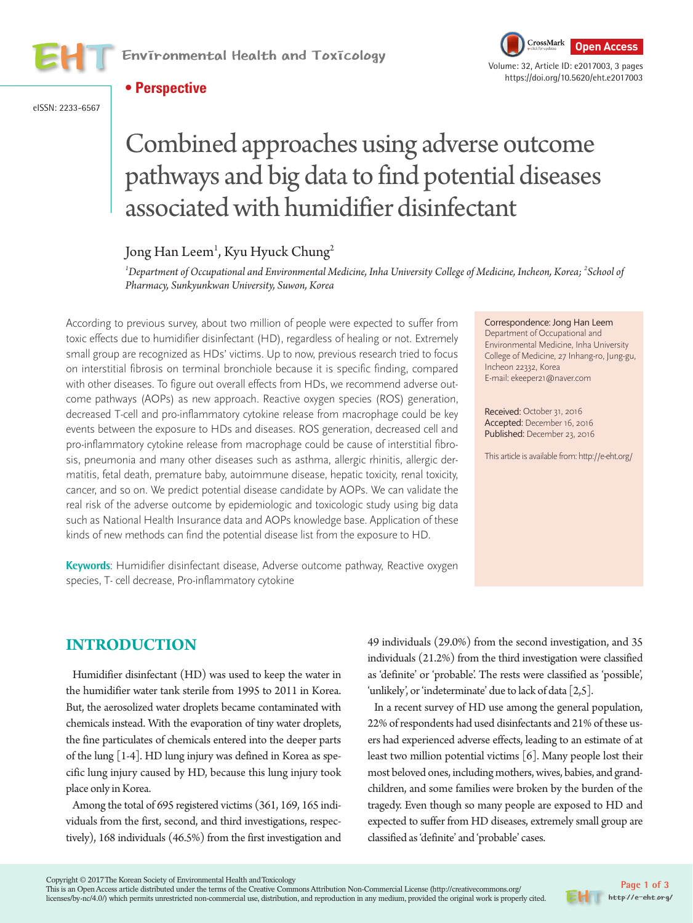



eISSN: 2233-6567



# Combined approaches using adverse outcome pathways and big data to find potential diseases associated with humidifier disinfectant

# Jong Han Leem<sup>1</sup>, Kyu Hyuck Chung<sup>2</sup>

*1 Department of Occupational and Environmental Medicine, Inha University College of Medicine, Incheon, Korea; 2 School of Pharmacy, Sunkyunkwan University, Suwon, Korea*

According to previous survey, about two million of people were expected to suffer from toxic effects due to humidifier disinfectant (HD), regardless of healing or not. Extremely small group are recognized as HDs' victims. Up to now, previous research tried to focus on interstitial fibrosis on terminal bronchiole because it is specific finding, compared with other diseases. To figure out overall effects from HDs, we recommend adverse outcome pathways (AOPs) as new approach. Reactive oxygen species (ROS) generation, decreased T-cell and pro-inflammatory cytokine release from macrophage could be key events between the exposure to HDs and diseases. ROS generation, decreased cell and pro-inflammatory cytokine release from macrophage could be cause of interstitial fibrosis, pneumonia and many other diseases such as asthma, allergic rhinitis, allergic dermatitis, fetal death, premature baby, autoimmune disease, hepatic toxicity, renal toxicity, cancer, and so on. We predict potential disease candidate by AOPs. We can validate the real risk of the adverse outcome by epidemiologic and toxicologic study using big data such as National Health Insurance data and AOPs knowledge base. Application of these kinds of new methods can find the potential disease list from the exposure to HD.

**Keywords**: Humidifier disinfectant disease, Adverse outcome pathway, Reactive oxygen species, T- cell decrease, Pro-inflammatory cytokine

Correspondence: Jong Han Leem Department of Occupational and Environmental Medicine, Inha University College of Medicine, 27 Inhang-ro, Jung-gu, Incheon 22332, Korea E-mail: ekeeper21@naver.com

Received: October 31, 2016 Accepted: December 16, 2016 Published: December 23, 2016

This article is available from: http://e-eht.org/

# **INTRODUCTION**

Humidifier disinfectant (HD) was used to keep the water in the humidifier water tank sterile from 1995 to 2011 in Korea. But, the aerosolized water droplets became contaminated with chemicals instead. With the evaporation of tiny water droplets, the fine particulates of chemicals entered into the deeper parts of the lung [1-4]. HD lung injury was defined in Korea as specific lung injury caused by HD, because this lung injury took place only in Korea.

Among the total of 695 registered victims (361, 169, 165 individuals from the first, second, and third investigations, respectively), 168 individuals (46.5%) from the first investigation and 49 individuals (29.0%) from the second investigation, and 35 individuals (21.2%) from the third investigation were classified as 'definite' or 'probable'. The rests were classified as 'possible', 'unlikely', or 'indeterminate' due to lack of data [2,5].

In a recent survey of HD use among the general population, 22% of respondents had used disinfectants and 21% of these users had experienced adverse effects, leading to an estimate of at least two million potential victims [6]. Many people lost their most beloved ones, including mothers, wives, babies, and grandchildren, and some families were broken by the burden of the tragedy. Even though so many people are exposed to HD and expected to suffer from HD diseases, extremely small group are classified as 'definite' and 'probable' cases.

This is an Open Access article distributed under the terms of the Creative Commons Attribution Non-Commercial License (http://creativecommons.org/ licenses/by-nc/4.0/) which permits unrestricted non-commercial use, distribution, and reproduction in any medium, provided the original work is properly cited.

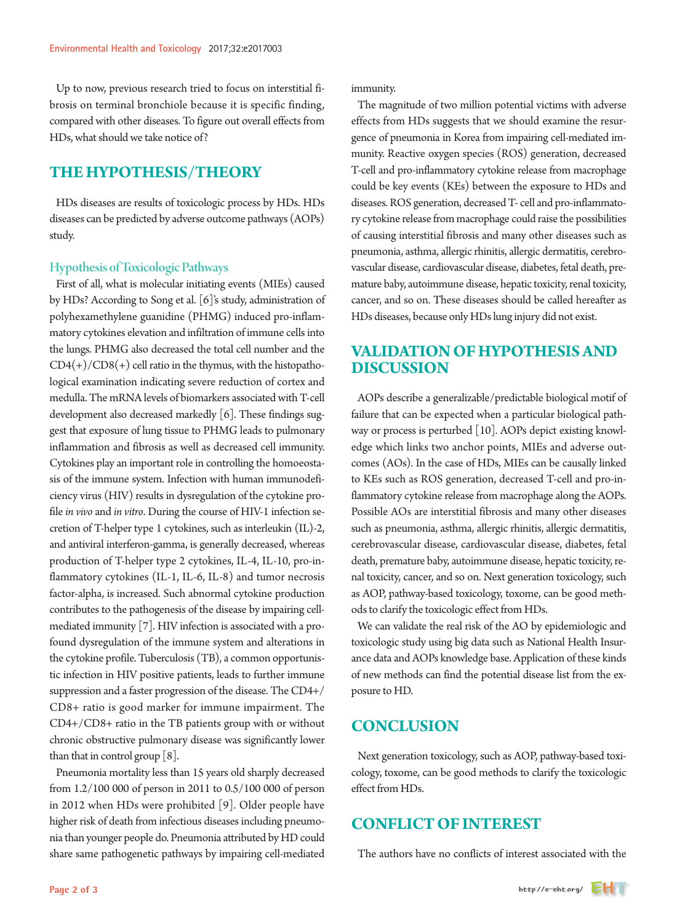Up to now, previous research tried to focus on interstitial fibrosis on terminal bronchiole because it is specific finding, compared with other diseases. To figure out overall effects from HDs, what should we take notice of?

#### **THE HYPOTHESIS/THEORY**

HDs diseases are results of toxicologic process by HDs. HDs diseases can be predicted by adverse outcome pathways (AOPs) study.

#### Hypothesis of Toxicologic Pathways

First of all, what is molecular initiating events (MIEs) caused by HDs? According to Song et al. [6]'s study, administration of polyhexamethylene guanidine (PHMG) induced pro-inflammatory cytokines elevation and infiltration of immune cells into the lungs. PHMG also decreased the total cell number and the  $CD4(+)/CD8(+)$  cell ratio in the thymus, with the histopathological examination indicating severe reduction of cortex and medulla. The mRNA levels of biomarkers associated with T-cell development also decreased markedly [6]. These findings suggest that exposure of lung tissue to PHMG leads to pulmonary inflammation and fibrosis as well as decreased cell immunity. Cytokines play an important role in controlling the homoeostasis of the immune system. Infection with human immunodeficiency virus (HIV) results in dysregulation of the cytokine profile *in vivo* and *in vitro*. During the course of HIV-1 infection secretion of T-helper type 1 cytokines, such as interleukin (IL)-2, and antiviral interferon-gamma, is generally decreased, whereas production of T-helper type 2 cytokines, IL-4, IL-10, pro-inflammatory cytokines (IL-1, IL-6, IL-8) and tumor necrosis factor-alpha, is increased. Such abnormal cytokine production contributes to the pathogenesis of the disease by impairing cellmediated immunity [7]. HIV infection is associated with a profound dysregulation of the immune system and alterations in the cytokine profile. Tuberculosis (TB), a common opportunistic infection in HIV positive patients, leads to further immune suppression and a faster progression of the disease. The CD4+/ CD8+ ratio is good marker for immune impairment. The CD4+/CD8+ ratio in the TB patients group with or without chronic obstructive pulmonary disease was significantly lower than that in control group [8].

Pneumonia mortality less than 15 years old sharply decreased from 1.2/100 000 of person in 2011 to 0.5/100 000 of person in 2012 when HDs were prohibited [9]. Older people have higher risk of death from infectious diseases including pneumonia than younger people do. Pneumonia attributed by HD could share same pathogenetic pathways by impairing cell-mediated

immunity.

The magnitude of two million potential victims with adverse effects from HDs suggests that we should examine the resurgence of pneumonia in Korea from impairing cell-mediated immunity. Reactive oxygen species (ROS) generation, decreased T-cell and pro-inflammatory cytokine release from macrophage could be key events (KEs) between the exposure to HDs and diseases. ROS generation, decreased T- cell and pro-inflammatory cytokine release from macrophage could raise the possibilities of causing interstitial fibrosis and many other diseases such as pneumonia, asthma, allergic rhinitis, allergic dermatitis, cerebrovascular disease, cardiovascular disease, diabetes, fetal death, premature baby, autoimmune disease, hepatic toxicity, renal toxicity, cancer, and so on. These diseases should be called hereafter as HDs diseases, because only HDs lung injury did not exist.

#### **VALIDATION OF HYPOTHESIS AND DISCUSSION**

AOPs describe a generalizable/predictable biological motif of failure that can be expected when a particular biological pathway or process is perturbed [10]. AOPs depict existing knowledge which links two anchor points, MIEs and adverse outcomes (AOs). In the case of HDs, MIEs can be causally linked to KEs such as ROS generation, decreased T-cell and pro-inflammatory cytokine release from macrophage along the AOPs. Possible AOs are interstitial fibrosis and many other diseases such as pneumonia, asthma, allergic rhinitis, allergic dermatitis, cerebrovascular disease, cardiovascular disease, diabetes, fetal death, premature baby, autoimmune disease, hepatic toxicity, renal toxicity, cancer, and so on. Next generation toxicology, such as AOP, pathway-based toxicology, toxome, can be good methods to clarify the toxicologic effect from HDs.

We can validate the real risk of the AO by epidemiologic and toxicologic study using big data such as National Health Insurance data and AOPs knowledge base. Application of these kinds of new methods can find the potential disease list from the exposure to HD.

# **CONCLUSION**

Next generation toxicology, such as AOP, pathway-based toxicology, toxome, can be good methods to clarify the toxicologic effect from HDs.

#### **CONFLICT OF INTEREST**

The authors have no conflicts of interest associated with the